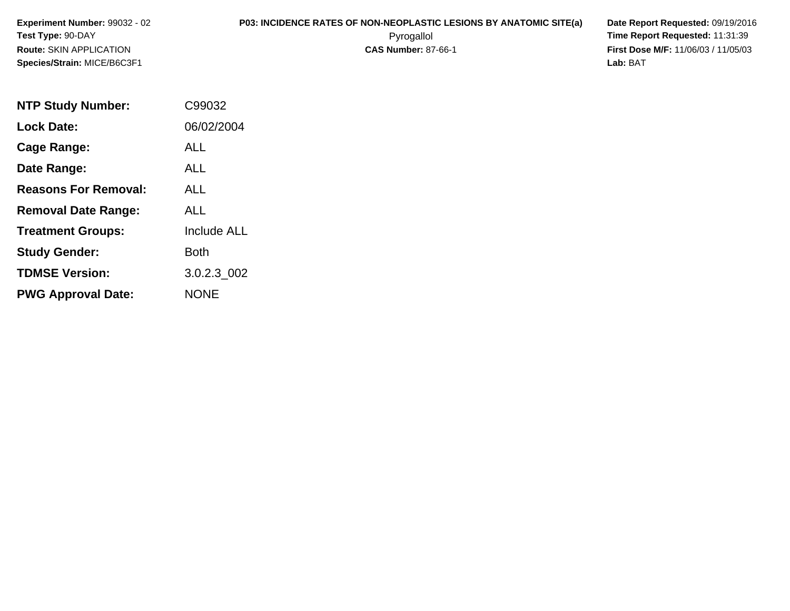**Experiment Number:** 99032 - 02**Test Type:** 90-DAY**Route:** SKIN APPLICATION**Species/Strain:** MICE/B6C3F1

## **P03: INCIDENCE RATES OF NON-NEOPLASTIC LESIONS BY ANATOMIC SITE(a) Date Report Requested: 09/19/2016<br>Pyrogallol <b>Pyrogallol** Time Report Requested: 11:31:39

 Pyrogallol **Time Report Requested:** 11:31:39 **First Dose M/F:** 11/06/03 / 11/05/03<br>**Lab:** BAT **Lab:** BAT

| <b>NTP Study Number:</b>    | C99032             |
|-----------------------------|--------------------|
| <b>Lock Date:</b>           | 06/02/2004         |
| Cage Range:                 | ALL                |
| Date Range:                 | ALL                |
| <b>Reasons For Removal:</b> | ALL.               |
| <b>Removal Date Range:</b>  | ALL                |
| <b>Treatment Groups:</b>    | <b>Include ALL</b> |
| <b>Study Gender:</b>        | Both               |
| <b>TDMSE Version:</b>       | 3.0.2.3 002        |
| <b>PWG Approval Date:</b>   | <b>NONE</b>        |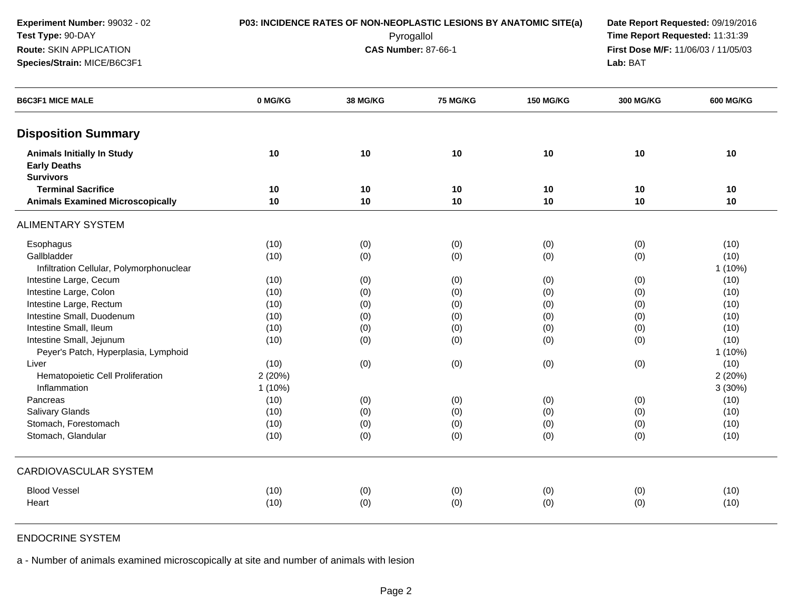**Disposition SummaryAnimals Initially In Study <sup>10</sup> <sup>10</sup> <sup>10</sup> <sup>10</sup> <sup>10</sup> <sup>10</sup> Early DeathsSurvivors Terminal Sacrifice <sup>10</sup> <sup>10</sup> <sup>10</sup> <sup>10</sup> <sup>10</sup> <sup>10</sup> Animals Examined Microscopically <sup>10</sup> <sup>10</sup> <sup>10</sup> <sup>10</sup> <sup>10</sup> <sup>10</sup>** ALIMENTARY SYSTEMEsophaguss (10) (0) (0) (0) (0) (0) (0) (0) (10) **Gallbladder**  (10) (0) (0) (0) (0) (10) Infiltration Cellular, Polymorphonuclear $1 (10%)$ Intestine Large, Cecum (10) (0) (0) (0) (0) (10) Intestine Large, Colonn (10) (0) (0) (0) (0) (0) (0) (0) (10) Intestine Large, Rectumm (10) (0) (0) (0) (0) (0) (10) (10) Intestine Small, Duodenumm (10) (0) (0) (0) (0) (10) (10) Intestine Small, Ileum (10) (0) (0) (0) (0) (10) Intestine Small, Jejunum (10) (0) (0) (0) (0) (10) Peyer's Patch, Hyperplasia, Lymphoidd and the contract of the contract of the contract of the contract of the contract of the contract of the contract of the contract of the contract of the contract of the contract of the contract of the contract of the cont Liver (10) (0) (0) (0) (0) (10) Hematopoietic Cell Proliferationn  $2(20\%)$ Inflammationn  $1(10\%)$  3 (30%) Pancreass (10) (0) (0) (0) (0) (0) (0) (0) (0) (10) Salivary Glandss (10) (0) (0) (0) (0) (0) (0) (0) (0) (10) Stomach, Forestomachh (10) (0) (0) (0) (0) (0) (0) (0) (0) (10) Stomach, Glandular (10) (0) (0) (0) (0) (10) **Experiment Number:** 99032 - 02 **P03: INCIDENCE RATES OF NON-NEOPLASTIC LESIONS BY ANATOMIC SITE(a) Date Report Requested:** 09/19/2016 **Test Type:** 90-DAY Pyrogallol **Time Report Requested:** 11:31:39 **Route:** SKIN APPLICATION**First Dose M/F:** 11/06/03 / 11/05/03<br>**Lab:** BAT **Species/Strain:** MICE/B6C3F1 **Lab:** BAT**B6C3F1 MICE MALE 0 MG/KG38 MG/KG 75 MG/KG 150 MG/KG 300 MG/KG 600 MG/KG**

CARDIOVASCULAR SYSTEMBlood Vessel (10) (0) (0) (0) (0) (10) **Heart** t the contract of  $(10)$ (0) (0) (0) (0) (10)

## ENDOCRINE SYSTEM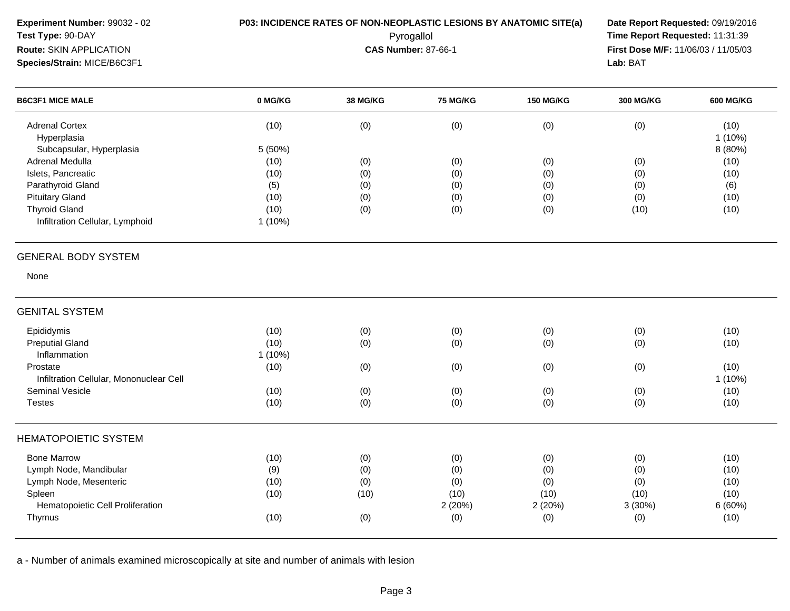| Experiment Number: 99032 - 02<br>Test Type: 90-DAY<br>Route: SKIN APPLICATION |           | P03: INCIDENCE RATES OF NON-NEOPLASTIC LESIONS BY ANATOMIC SITE(a) | Pyrogallol<br><b>CAS Number: 87-66-1</b> |                  | Date Report Requested: 09/19/2016<br>Time Report Requested: 11:31:39<br>First Dose M/F: 11/06/03 / 11/05/03 |                  |
|-------------------------------------------------------------------------------|-----------|--------------------------------------------------------------------|------------------------------------------|------------------|-------------------------------------------------------------------------------------------------------------|------------------|
| Species/Strain: MICE/B6C3F1                                                   |           |                                                                    |                                          |                  | Lab: BAT                                                                                                    |                  |
| <b>B6C3F1 MICE MALE</b>                                                       | 0 MG/KG   | 38 MG/KG                                                           | <b>75 MG/KG</b>                          | <b>150 MG/KG</b> | <b>300 MG/KG</b>                                                                                            | <b>600 MG/KG</b> |
| <b>Adrenal Cortex</b><br>Hyperplasia                                          | (10)      | (0)                                                                | (0)                                      | (0)              | (0)                                                                                                         | (10)<br>1(10%)   |
| Subcapsular, Hyperplasia                                                      | 5 (50%)   |                                                                    |                                          |                  |                                                                                                             | 8 (80%)          |
| Adrenal Medulla                                                               | (10)      | (0)                                                                | (0)                                      | (0)              | (0)                                                                                                         | (10)             |
| Islets, Pancreatic                                                            | (10)      | (0)                                                                | (0)                                      | (0)              | (0)                                                                                                         | (10)             |
| Parathyroid Gland                                                             | (5)       | (0)                                                                | (0)                                      | (0)              | (0)                                                                                                         | (6)              |
| <b>Pituitary Gland</b>                                                        | (10)      | (0)                                                                | (0)                                      | (0)              | (0)                                                                                                         | (10)             |
| <b>Thyroid Gland</b>                                                          | (10)      | (0)                                                                | (0)                                      | (0)              | (10)                                                                                                        | (10)             |
| Infiltration Cellular, Lymphoid                                               | $1(10\%)$ |                                                                    |                                          |                  |                                                                                                             |                  |
| <b>GENERAL BODY SYSTEM</b>                                                    |           |                                                                    |                                          |                  |                                                                                                             |                  |
| None                                                                          |           |                                                                    |                                          |                  |                                                                                                             |                  |
| <b>GENITAL SYSTEM</b>                                                         |           |                                                                    |                                          |                  |                                                                                                             |                  |
| Epididymis                                                                    | (10)      | (0)                                                                | (0)                                      | (0)              | (0)                                                                                                         | (10)             |
| <b>Preputial Gland</b>                                                        | (10)      | (0)                                                                | (0)                                      | (0)              | (0)                                                                                                         | (10)             |
| Inflammation                                                                  | 1(10%)    |                                                                    |                                          |                  |                                                                                                             |                  |
| Prostate                                                                      | (10)      | (0)                                                                | (0)                                      | (0)              | (0)                                                                                                         | (10)             |
| Infiltration Cellular, Mononuclear Cell                                       |           |                                                                    |                                          |                  |                                                                                                             | 1(10%)           |
| Seminal Vesicle                                                               | (10)      | (0)                                                                | (0)                                      | (0)              | (0)                                                                                                         | (10)             |
| <b>Testes</b>                                                                 | (10)      | (0)                                                                | (0)                                      | (0)              | (0)                                                                                                         | (10)             |
| <b>HEMATOPOIETIC SYSTEM</b>                                                   |           |                                                                    |                                          |                  |                                                                                                             |                  |
| <b>Bone Marrow</b>                                                            | (10)      | (0)                                                                | (0)                                      | (0)              | (0)                                                                                                         | (10)             |
| Lymph Node, Mandibular                                                        | (9)       | (0)                                                                | (0)                                      | (0)              | (0)                                                                                                         | (10)             |
| Lymph Node, Mesenteric                                                        | (10)      | (0)                                                                | (0)                                      | (0)              | (0)                                                                                                         | (10)             |
| Spleen                                                                        | (10)      | (10)                                                               | (10)                                     | (10)             | (10)                                                                                                        | (10)             |
| Hematopoietic Cell Proliferation                                              |           |                                                                    | 2(20%)                                   | 2(20%)           | 3(30%)                                                                                                      | 6(60%)           |
| Thymus                                                                        | (10)      | (0)                                                                | (0)                                      | (0)              | (0)                                                                                                         | (10)             |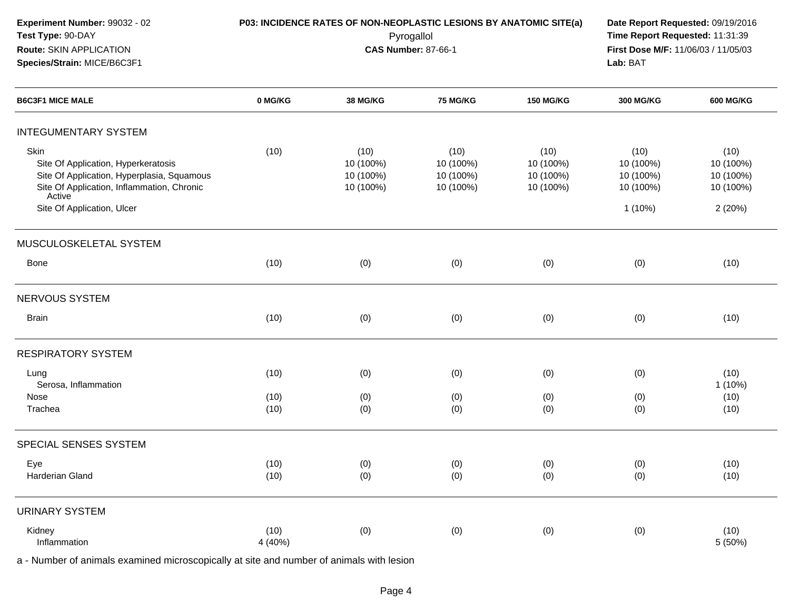| Experiment Number: 99032 - 02<br>Test Type: 90-DAY<br>Route: SKIN APPLICATION<br>Species/Strain: MICE/B6C3F1                                      |                 | P03: INCIDENCE RATES OF NON-NEOPLASTIC LESIONS BY ANATOMIC SITE(a) | Pyrogallol<br><b>CAS Number: 87-66-1</b>    |                                             | Date Report Requested: 09/19/2016<br>Time Report Requested: 11:31:39<br>First Dose M/F: 11/06/03 / 11/05/03<br>Lab: BAT |                                             |
|---------------------------------------------------------------------------------------------------------------------------------------------------|-----------------|--------------------------------------------------------------------|---------------------------------------------|---------------------------------------------|-------------------------------------------------------------------------------------------------------------------------|---------------------------------------------|
| <b>B6C3F1 MICE MALE</b>                                                                                                                           | 0 MG/KG         | <b>38 MG/KG</b>                                                    | <b>75 MG/KG</b>                             | <b>150 MG/KG</b>                            | <b>300 MG/KG</b>                                                                                                        | <b>600 MG/KG</b>                            |
| <b>INTEGUMENTARY SYSTEM</b>                                                                                                                       |                 |                                                                    |                                             |                                             |                                                                                                                         |                                             |
| Skin<br>Site Of Application, Hyperkeratosis<br>Site Of Application, Hyperplasia, Squamous<br>Site Of Application, Inflammation, Chronic<br>Active | (10)            | (10)<br>10 (100%)<br>10 (100%)<br>10 (100%)                        | (10)<br>10 (100%)<br>10 (100%)<br>10 (100%) | (10)<br>10 (100%)<br>10 (100%)<br>10 (100%) | (10)<br>10 (100%)<br>10 (100%)<br>10 (100%)                                                                             | (10)<br>10 (100%)<br>10 (100%)<br>10 (100%) |
| Site Of Application, Ulcer                                                                                                                        |                 |                                                                    |                                             |                                             | $1(10\%)$                                                                                                               | 2(20%)                                      |
| MUSCULOSKELETAL SYSTEM                                                                                                                            |                 |                                                                    |                                             |                                             |                                                                                                                         |                                             |
| <b>Bone</b>                                                                                                                                       | (10)            | (0)                                                                | (0)                                         | (0)                                         | (0)                                                                                                                     | (10)                                        |
| NERVOUS SYSTEM                                                                                                                                    |                 |                                                                    |                                             |                                             |                                                                                                                         |                                             |
| <b>Brain</b>                                                                                                                                      | (10)            | (0)                                                                | (0)                                         | (0)                                         | (0)                                                                                                                     | (10)                                        |
| <b>RESPIRATORY SYSTEM</b>                                                                                                                         |                 |                                                                    |                                             |                                             |                                                                                                                         |                                             |
| Lung<br>Serosa, Inflammation                                                                                                                      | (10)            | (0)                                                                | (0)                                         | (0)                                         | (0)                                                                                                                     | (10)<br>1 (10%)                             |
| Nose<br>Trachea                                                                                                                                   | (10)<br>(10)    | (0)<br>(0)                                                         | (0)<br>(0)                                  | (0)<br>(0)                                  | (0)<br>(0)                                                                                                              | (10)<br>(10)                                |
| SPECIAL SENSES SYSTEM                                                                                                                             |                 |                                                                    |                                             |                                             |                                                                                                                         |                                             |
| Eye<br>Harderian Gland                                                                                                                            | (10)<br>(10)    | (0)<br>(0)                                                         | (0)<br>(0)                                  | (0)<br>(0)                                  | (0)<br>(0)                                                                                                              | (10)<br>(10)                                |
| <b>URINARY SYSTEM</b>                                                                                                                             |                 |                                                                    |                                             |                                             |                                                                                                                         |                                             |
| Kidney<br>Inflammation                                                                                                                            | (10)<br>4 (40%) | (0)                                                                | (0)                                         | (0)                                         | (0)                                                                                                                     | (10)<br>5 (50%)                             |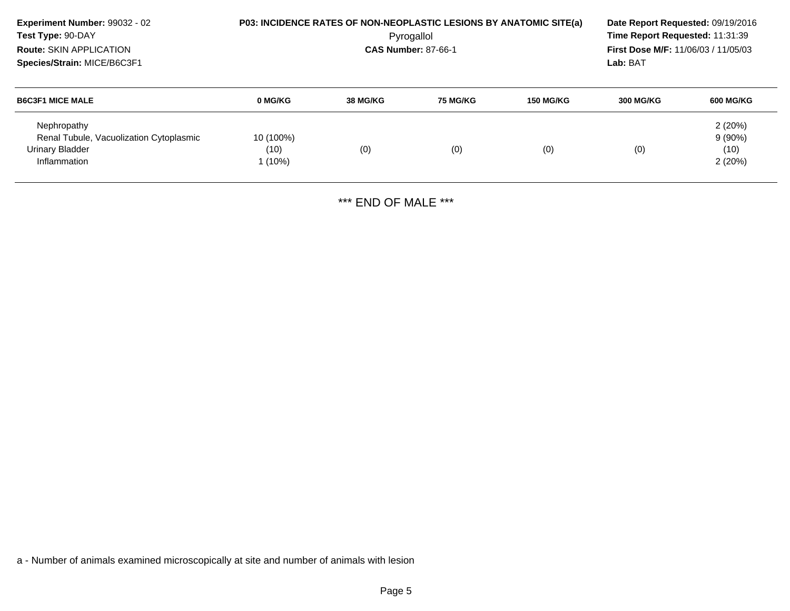| Experiment Number: 99032 - 02<br>Test Type: 90-DAY<br><b>Route: SKIN APPLICATION</b><br>Species/Strain: MICE/B6C3F1 |                              |          | P03: INCIDENCE RATES OF NON-NEOPLASTIC LESIONS BY ANATOMIC SITE(a)<br>Pyrogallol<br><b>CAS Number: 87-66-1</b> |                  | Date Report Requested: 09/19/2016<br>Time Report Requested: 11:31:39<br><b>First Dose M/F: 11/06/03 / 11/05/03</b><br>Lab: BAT |                                       |
|---------------------------------------------------------------------------------------------------------------------|------------------------------|----------|----------------------------------------------------------------------------------------------------------------|------------------|--------------------------------------------------------------------------------------------------------------------------------|---------------------------------------|
| <b>B6C3F1 MICE MALE</b>                                                                                             | 0 MG/KG                      | 38 MG/KG | <b>75 MG/KG</b>                                                                                                | <b>150 MG/KG</b> | <b>300 MG/KG</b>                                                                                                               | 600 MG/KG                             |
| Nephropathy<br>Renal Tubule, Vacuolization Cytoplasmic<br>Urinary Bladder<br>Inflammation                           | 10 (100%)<br>(10)<br>l (10%) | (0)      | (0)                                                                                                            | (0)              | (0)                                                                                                                            | 2(20%)<br>$9(90\%)$<br>(10)<br>2(20%) |

\*\*\* END OF MALE \*\*\*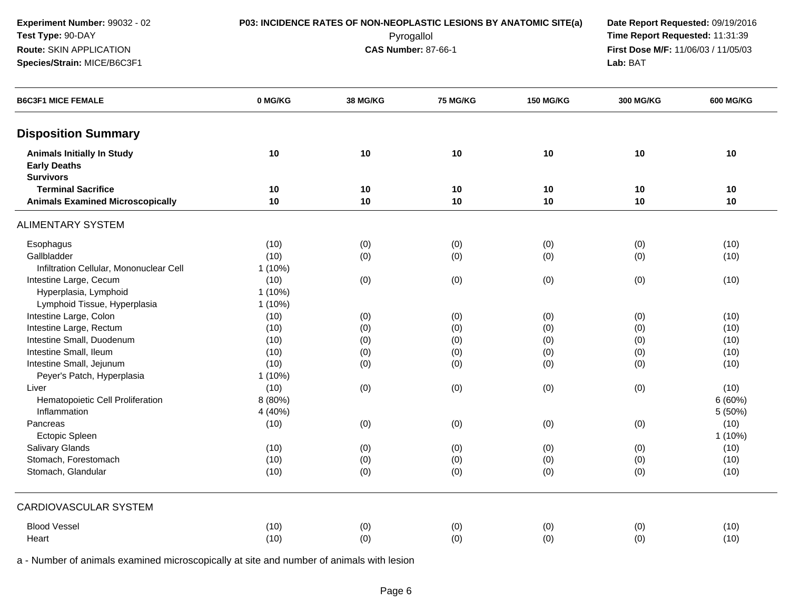**Experiment Number:** 99032 - 02**P03: INCIDENCE RATES OF NON-NEOPLASTIC LESIONS BY ANATOMIC SITE(a) Date Report Requested: 09/19/2016<br>Pyrogallol <b>Proport Report Requested:** 11:31:39 **Test Type:** 90-DAY Pyrogallol **Time Report Requested:** 11:31:39 **Route:** SKIN APPLICATION**Species/Strain:** MICE/B6C3F1**Lab:** BAT

**First Dose M/F:** 11/06/03 / 11/05/03<br>**Lab:** BAT

| <b>B6C3F1 MICE FEMALE</b>                                                    | 0 MG/KG   | <b>38 MG/KG</b> | <b>75 MG/KG</b> | <b>150 MG/KG</b> | <b>300 MG/KG</b> | <b>600 MG/KG</b> |
|------------------------------------------------------------------------------|-----------|-----------------|-----------------|------------------|------------------|------------------|
| <b>Disposition Summary</b>                                                   |           |                 |                 |                  |                  |                  |
| <b>Animals Initially In Study</b><br><b>Early Deaths</b><br><b>Survivors</b> | 10        | 10              | 10              | 10               | 10               | 10               |
| <b>Terminal Sacrifice</b>                                                    | 10        | 10              | 10              | 10               | 10               | 10               |
| <b>Animals Examined Microscopically</b>                                      | 10        | 10              | 10              | 10               | 10               | 10               |
| <b>ALIMENTARY SYSTEM</b>                                                     |           |                 |                 |                  |                  |                  |
| Esophagus                                                                    | (10)      | (0)             | (0)             | (0)              | (0)              | (10)             |
| Gallbladder                                                                  | (10)      | (0)             | (0)             | (0)              | (0)              | (10)             |
| Infiltration Cellular, Mononuclear Cell                                      | 1(10%)    |                 |                 |                  |                  |                  |
| Intestine Large, Cecum                                                       | (10)      | (0)             | (0)             | (0)              | (0)              | (10)             |
| Hyperplasia, Lymphoid                                                        | $1(10\%)$ |                 |                 |                  |                  |                  |
| Lymphoid Tissue, Hyperplasia                                                 | $1(10\%)$ |                 |                 |                  |                  |                  |
| Intestine Large, Colon                                                       | (10)      | (0)             | (0)             | (0)              | (0)              | (10)             |
| Intestine Large, Rectum                                                      | (10)      | (0)             | (0)             | (0)              | (0)              | (10)             |
| Intestine Small, Duodenum                                                    | (10)      | (0)             | (0)             | (0)              | (0)              | (10)             |
| Intestine Small, Ileum                                                       | (10)      | (0)             | (0)             | (0)              | (0)              | (10)             |
| Intestine Small, Jejunum                                                     | (10)      | (0)             | (0)             | (0)              | (0)              | (10)             |
| Peyer's Patch, Hyperplasia                                                   | $1(10\%)$ |                 |                 |                  |                  |                  |
| Liver                                                                        | (10)      | (0)             | (0)             | (0)              | (0)              | (10)             |
| Hematopoietic Cell Proliferation                                             | 8 (80%)   |                 |                 |                  |                  | 6(60%)           |
| Inflammation                                                                 | 4 (40%)   |                 |                 |                  |                  | 5 (50%)          |
| Pancreas                                                                     | (10)      | (0)             | (0)             | (0)              | (0)              | (10)             |
| Ectopic Spleen                                                               |           |                 |                 |                  |                  | $1(10\%)$        |
| Salivary Glands                                                              | (10)      | (0)             | (0)             | (0)              | (0)              | (10)             |
| Stomach, Forestomach                                                         | (10)      | (0)             | (0)             | (0)              | (0)              | (10)             |
| Stomach, Glandular                                                           | (10)      | (0)             | (0)             | (0)              | (0)              | (10)             |
| CARDIOVASCULAR SYSTEM                                                        |           |                 |                 |                  |                  |                  |
| <b>Blood Vessel</b>                                                          | (10)      | (0)             | (0)             | (0)              | (0)              | (10)             |
| Heart                                                                        | (10)      | (0)             | (0)             | (0)              | (0)              | (10)             |
|                                                                              |           |                 |                 |                  |                  |                  |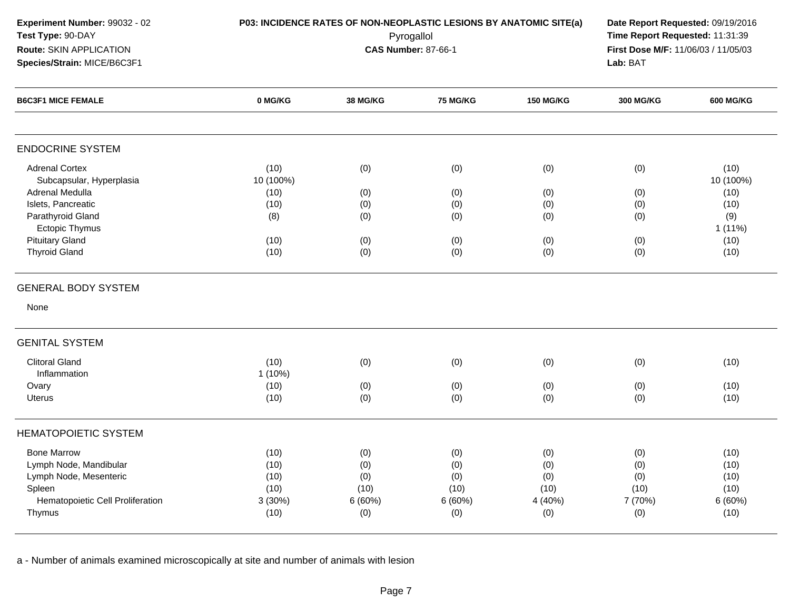| Experiment Number: 99032 - 02<br>Test Type: 90-DAY<br>Route: SKIN APPLICATION<br>Species/Strain: MICE/B6C3F1                   |                                                | <b>CAS Number: 87-66-1</b>                 | P03: INCIDENCE RATES OF NON-NEOPLASTIC LESIONS BY ANATOMIC SITE(a)<br>Pyrogallol |                                             | Lab: BAT                                    | Date Report Requested: 09/19/2016<br>Time Report Requested: 11:31:39<br>First Dose M/F: 11/06/03 / 11/05/03 |  |  |
|--------------------------------------------------------------------------------------------------------------------------------|------------------------------------------------|--------------------------------------------|----------------------------------------------------------------------------------|---------------------------------------------|---------------------------------------------|-------------------------------------------------------------------------------------------------------------|--|--|
| <b>B6C3F1 MICE FEMALE</b>                                                                                                      | 0 MG/KG                                        | <b>38 MG/KG</b>                            | 75 MG/KG                                                                         | <b>150 MG/KG</b>                            | <b>300 MG/KG</b>                            | <b>600 MG/KG</b>                                                                                            |  |  |
| <b>ENDOCRINE SYSTEM</b>                                                                                                        |                                                |                                            |                                                                                  |                                             |                                             |                                                                                                             |  |  |
| <b>Adrenal Cortex</b><br>Subcapsular, Hyperplasia<br><b>Adrenal Medulla</b>                                                    | (10)<br>10 (100%)<br>(10)                      | (0)<br>(0)                                 | (0)<br>(0)                                                                       | (0)<br>(0)                                  | (0)<br>(0)                                  | (10)<br>10 (100%)<br>(10)                                                                                   |  |  |
| Islets, Pancreatic<br>Parathyroid Gland<br>Ectopic Thymus                                                                      | (10)<br>(8)                                    | (0)<br>(0)                                 | (0)<br>(0)                                                                       | (0)<br>(0)                                  | (0)<br>(0)                                  | (10)<br>(9)<br>$1(11\%)$                                                                                    |  |  |
| <b>Pituitary Gland</b><br><b>Thyroid Gland</b>                                                                                 | (10)<br>(10)                                   | (0)<br>(0)                                 | (0)<br>(0)                                                                       | (0)<br>(0)                                  | (0)<br>(0)                                  | (10)<br>(10)                                                                                                |  |  |
| <b>GENERAL BODY SYSTEM</b>                                                                                                     |                                                |                                            |                                                                                  |                                             |                                             |                                                                                                             |  |  |
| None                                                                                                                           |                                                |                                            |                                                                                  |                                             |                                             |                                                                                                             |  |  |
| <b>GENITAL SYSTEM</b>                                                                                                          |                                                |                                            |                                                                                  |                                             |                                             |                                                                                                             |  |  |
| <b>Clitoral Gland</b><br>Inflammation                                                                                          | (10)<br>1 (10%)                                | (0)                                        | (0)                                                                              | (0)                                         | (0)                                         | (10)                                                                                                        |  |  |
| Ovary<br>Uterus                                                                                                                | (10)<br>(10)                                   | (0)<br>(0)                                 | (0)<br>(0)                                                                       | (0)<br>(0)                                  | (0)<br>(0)                                  | (10)<br>(10)                                                                                                |  |  |
| <b>HEMATOPOIETIC SYSTEM</b>                                                                                                    |                                                |                                            |                                                                                  |                                             |                                             |                                                                                                             |  |  |
| <b>Bone Marrow</b><br>Lymph Node, Mandibular<br>Lymph Node, Mesenteric<br>Spleen<br>Hematopoietic Cell Proliferation<br>Thymus | (10)<br>(10)<br>(10)<br>(10)<br>3(30%)<br>(10) | (0)<br>(0)<br>(0)<br>(10)<br>6(60%)<br>(0) | (0)<br>(0)<br>(0)<br>(10)<br>6(60%)<br>(0)                                       | (0)<br>(0)<br>(0)<br>(10)<br>4 (40%)<br>(0) | (0)<br>(0)<br>(0)<br>(10)<br>7 (70%)<br>(0) | (10)<br>(10)<br>(10)<br>(10)<br>6(60%)<br>(10)                                                              |  |  |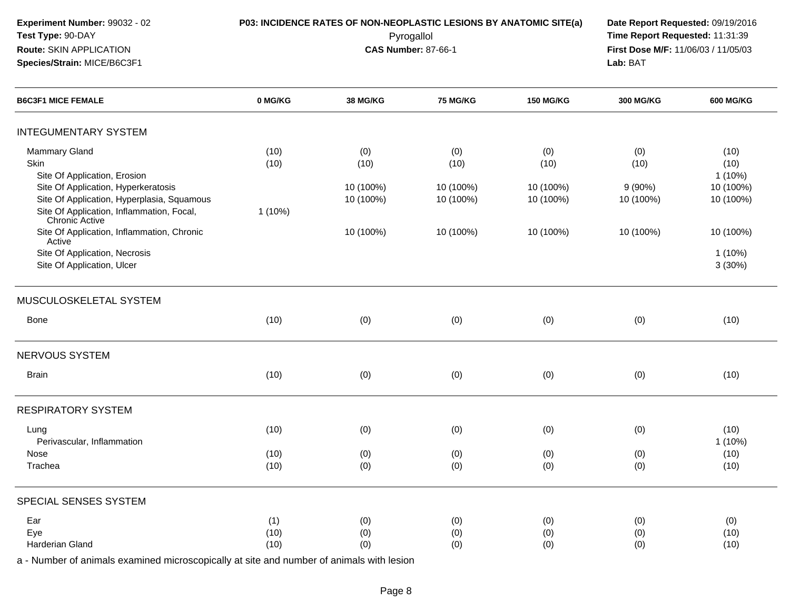INTEGUMENTARY SYSTEMMammary Glandd (10) (0) (0) (0) (0) (0) (0) (0) (0) (10) Skin (10) (10) (10) (10) (10) (10) Site Of Application, Erosionn and the contract of the contract of the contract of the contract of the contract of the contract of the contract of the contract of the contract of the contract of the contract of the contract of the contract of the cont Site Of Application, Hyperkeratosis 10 (100%) 10 (100%) 10 (100%) 9 (90%) 10 (100%) Site Of Application, Hyperplasia, Squamous 10 (100%) 10 (100%) 10 (100%) 10 (100%) 10 (100%) Site Of Application, Inflammation, Focal,Chronic Active Site Of Application, Inflammation, Chronic1 (10%)Active Site Of Application, Necrosis10 (100%) 10 (100%) 10 (100%) 10 (100%) 10 (100%) s and  $1\,(10\%)$ Site Of Application, Ulcerтелеси в совета в совета в совета в совета в совета в совета в совета в совета в совета в 3 (30%) и 3 (30%) и MUSCULOSKELETAL SYSTEMBonee (10) (0) (0) (0) (0) (0) (0) (0) (0) (10) NERVOUS SYSTEM**Experiment Number:** 99032 - 02 **P03: INCIDENCE RATES OF NON-NEOPLASTIC LESIONS BY ANATOMIC SITE(a) Date Report Requested:** 09/19/2016 **Test Type:** 90-DAY Pyrogallol **Time Report Requested:** 11:31:39 **Route:** SKIN APPLICATION**First Dose M/F:** 11/06/03 / 11/05/03<br>**Lab:** BAT **Species/Strain:** MICE/B6C3F1 **Lab:** BAT**B6C3F1 MICE FEMALE 0 MG/KG38 MG/KG 75 MG/KG 150 MG/KG 300 MG/KG 600 MG/KG**

n (10) (10) (0) (0) (0) (0) (0) (0) (0) (0) (10)

g (10) (10) (0) (0) (0) (0) (0) (0) (0) (0) (10)

e (10) (0) (0) (0) (0) (0) (0) (0) (0) (10)

a (10) (0) (0) (0) (0) (0) (0) (0) (0) (10)

n and the contract of the contract of the contract of the contract of the contract of the contract of the contract of the contract of the contract of the contract of the contract of the contract of the contract of the cont

| SPECIAL SENSES SYSTEM |  |  |  |  |  |  |  |  |  |  |  |  |  |
|-----------------------|--|--|--|--|--|--|--|--|--|--|--|--|--|

Perivascular, Inflammation

RESPIRATORY SYSTEM

Brain

Lung

Nose

Trachea

| Ear             | 74   | (0) | (0) | (0) | (0) | (0)  |
|-----------------|------|-----|-----|-----|-----|------|
| $\cdots$<br>⊏ve | (10) | (0) | (0) | (0) | (0) | (10) |
| Harderian Gland | (10) | (0) | (0) | (0) | (0) | (10) |